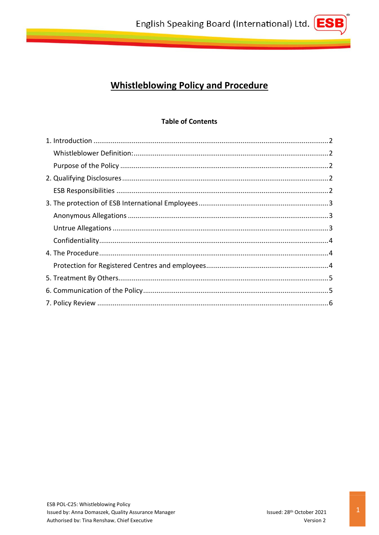

# **Table of Contents**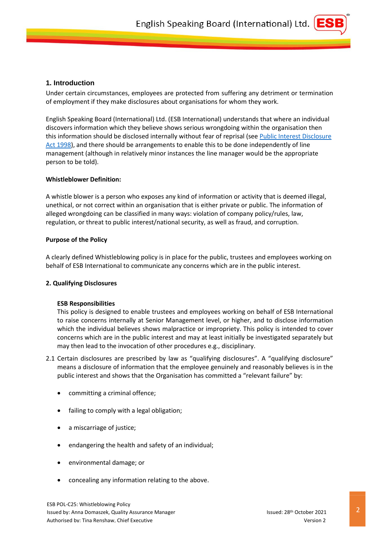

## <span id="page-1-0"></span>**1. Introduction**

Under certain circumstances, employees are protected from suffering any detriment or termination of employment if they make disclosures about organisations for whom they work.

English Speaking Board (International) Ltd. (ESB International) understands that where an individual discovers information which they believe shows serious wrongdoing within the organisation then this information should be disclosed internally without fear of reprisal (see Public Interest Disclosure [Act 1998\)](https://www.gov.uk/government/publications/guidance-for-auditors-and-independent-examiners-of-charities/the-public-interest-disclosure-act--2), and there should be arrangements to enable this to be done independently of line management (although in relatively minor instances the line manager would be the appropriate person to be told).

## <span id="page-1-1"></span>**Whistleblower Definition:**

A whistle blower is a person who exposes any kind of information or activity that is deemed illegal, unethical, or not correct within an organisation that is either private or public. The information of alleged wrongdoing can be classified in many ways: violation of company policy/rules, law, regulation, or threat to public interest/national security, as well as fraud, and corruption.

## <span id="page-1-2"></span>**Purpose of the Policy**

A clearly defined Whistleblowing policy is in place for the public, trustees and employees working on behalf of ESB International to communicate any concerns which are in the public interest.

## <span id="page-1-3"></span>**2. Qualifying Disclosures**

#### <span id="page-1-4"></span>**ESB Responsibilities**

This policy is designed to enable trustees and employees working on behalf of ESB International to raise concerns internally at Senior Management level, or higher, and to disclose information which the individual believes shows malpractice or impropriety. This policy is intended to cover concerns which are in the public interest and may at least initially be investigated separately but may then lead to the invocation of other procedures e.g., disciplinary.

- 2.1 Certain disclosures are prescribed by law as "qualifying disclosures". A "qualifying disclosure" means a disclosure of information that the employee genuinely and reasonably believes is in the public interest and shows that the Organisation has committed a "relevant failure" by:
	- committing a criminal offence;
	- failing to comply with a legal obligation;
	- a miscarriage of justice;
	- endangering the health and safety of an individual;
	- environmental damage; or
	- concealing any information relating to the above.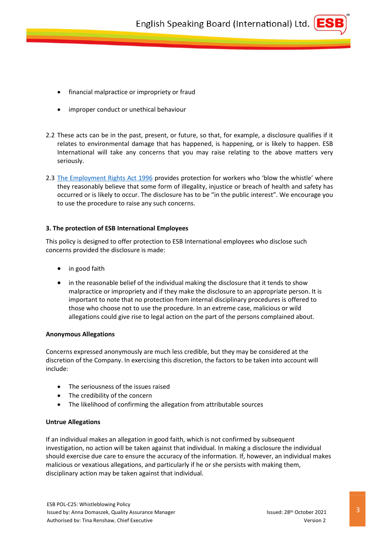

- improper conduct or unethical behaviour
- 2.2 These acts can be in the past, present, or future, so that, for example, a disclosure qualifies if it relates to environmental damage that has happened, is happening, or is likely to happen. ESB International will take any concerns that you may raise relating to the above matters very seriously.
- 2.3 [The Employment Rights Act 1996](https://www.legislation.gov.uk/ukpga/1996/18/section/1) provides protection for workers who 'blow the whistle' where they reasonably believe that some form of illegality, injustice or breach of health and safety has occurred or is likely to occur. The disclosure has to be "in the public interest". We encourage you to use the procedure to raise any such concerns.

## <span id="page-2-0"></span>**3. The protection of ESB International Employees**

This policy is designed to offer protection to ESB International employees who disclose such concerns provided the disclosure is made:

- in good faith
- in the reasonable belief of the individual making the disclosure that it tends to show malpractice or impropriety and if they make the disclosure to an appropriate person. It is important to note that no protection from internal disciplinary procedures is offered to those who choose not to use the procedure. In an extreme case, malicious or wild allegations could give rise to legal action on the part of the persons complained about.

#### <span id="page-2-1"></span>**Anonymous Allegations**

Concerns expressed anonymously are much less credible, but they may be considered at the discretion of the Company. In exercising this discretion, the factors to be taken into account will include:

- The seriousness of the issues raised
- The credibility of the concern
- The likelihood of confirming the allegation from attributable sources

#### <span id="page-2-2"></span>**Untrue Allegations**

If an individual makes an allegation in good faith, which is not confirmed by subsequent investigation, no action will be taken against that individual. In making a disclosure the individual should exercise due care to ensure the accuracy of the information. If, however, an individual makes malicious or vexatious allegations, and particularly if he or she persists with making them, disciplinary action may be taken against that individual.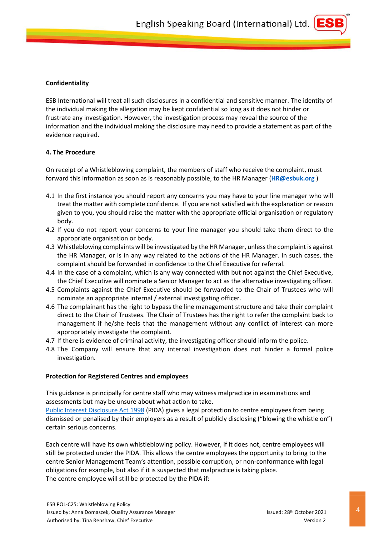

## <span id="page-3-0"></span>**Confidentiality**

ESB International will treat all such disclosures in a confidential and sensitive manner. The identity of the individual making the allegation may be kept confidential so long as it does not hinder or frustrate any investigation. However, the investigation process may reveal the source of the information and the individual making the disclosure may need to provide a statement as part of the evidence required.

## <span id="page-3-1"></span>**4. The Procedure**

On receipt of a Whistleblowing complaint, the members of staff who receive the complaint, must forward this information as soon as is reasonably possible, to the HR Manager (**HR@esbuk.org** )

- 4.1 In the first instance you should report any concerns you may have to your line manager who will treat the matter with complete confidence. If you are not satisfied with the explanation or reason given to you, you should raise the matter with the appropriate official organisation or regulatory body.
- 4.2 If you do not report your concerns to your line manager you should take them direct to the appropriate organisation or body.
- 4.3 Whistleblowing complaints will be investigated by the HR Manager, unless the complaint is against the HR Manager, or is in any way related to the actions of the HR Manager. In such cases, the complaint should be forwarded in confidence to the Chief Executive for referral.
- 4.4 In the case of a complaint, which is any way connected with but not against the Chief Executive, the Chief Executive will nominate a Senior Manager to act as the alternative investigating officer.
- 4.5 Complaints against the Chief Executive should be forwarded to the Chair of Trustees who will nominate an appropriate internal / external investigating officer.
- 4.6 The complainant has the right to bypass the line management structure and take their complaint direct to the Chair of Trustees. The Chair of Trustees has the right to refer the complaint back to management if he/she feels that the management without any conflict of interest can more appropriately investigate the complaint.
- 4.7 If there is evidence of criminal activity, the investigating officer should inform the police.
- 4.8 The Company will ensure that any internal investigation does not hinder a formal police investigation.

#### <span id="page-3-2"></span>**Protection for Registered Centres and employees**

This guidance is principally for centre staff who may witness malpractice in examinations and assessments but may be unsure about what action to take.

[Public Interest Disclosure Act 1998](https://www.gov.uk/government/publications/guidance-for-auditors-and-independent-examiners-of-charities/the-public-interest-disclosure-act--2) (PIDA) gives a legal protection to centre employees from being dismissed or penalised by their employers as a result of publicly disclosing ("blowing the whistle on") certain serious concerns.

Each centre will have its own whistleblowing policy. However, if it does not, centre employees will still be protected under the PIDA. This allows the centre employees the opportunity to bring to the centre Senior Management Team's attention, possible corruption, or non-conformance with legal obligations for example, but also if it is suspected that malpractice is taking place. The centre employee will still be protected by the PIDA if: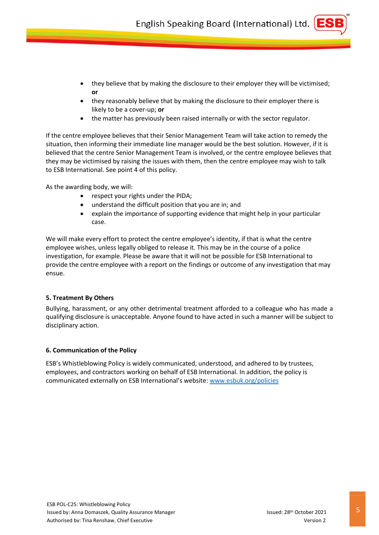- they believe that by making the disclosure to their employer they will be victimised; **or**
- they reasonably believe that by making the disclosure to their employer there is likely to be a cover-up; **or**
- the matter has previously been raised internally or with the sector regulator.

If the centre employee believes that their Senior Management Team will take action to remedy the situation, then informing their immediate line manager would be the best solution. However, if it is believed that the centre Senior Management Team is involved, or the centre employee believes that they may be victimised by raising the issues with them, then the centre employee may wish to talk to ESB International. See point 4 of this policy.

As the awarding body, we will:

- respect your rights under the PIDA;
- understand the difficult position that you are in; and
- explain the importance of supporting evidence that might help in your particular case.

We will make every effort to protect the centre employee's identity, if that is what the centre employee wishes, unless legally obliged to release it. This may be in the course of a police investigation, for example. Please be aware that it will not be possible for ESB International to provide the centre employee with a report on the findings or outcome of any investigation that may ensue.

#### <span id="page-4-0"></span>**5. Treatment By Others**

Bullying, harassment, or any other detrimental treatment afforded to a colleague who has made a qualifying disclosure is unacceptable. Anyone found to have acted in such a manner will be subject to disciplinary action.

#### <span id="page-4-1"></span>**6. Communication of the Policy**

ESB's Whistleblowing Policy is widely communicated, understood, and adhered to by trustees, employees, and contractors working on behalf of ESB International. In addition, the policy is communicated externally on ESB International's website: [www.esbuk.org/policies](https://esbuk.org/web/about-us/policies-and-procedures/)